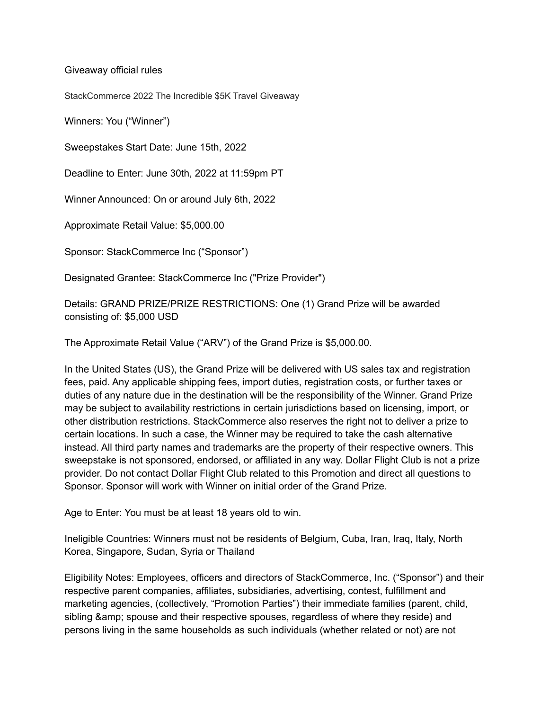Giveaway official rules

StackCommerce 2022 The Incredible \$5K Travel Giveaway

Winners: You ("Winner")

Sweepstakes Start Date: June 15th, 2022

Deadline to Enter: June 30th, 2022 at 11:59pm PT

Winner Announced: On or around July 6th, 2022

Approximate Retail Value: \$5,000.00

Sponsor: StackCommerce Inc ("Sponsor")

Designated Grantee: StackCommerce Inc ("Prize Provider")

Details: GRAND PRIZE/PRIZE RESTRICTIONS: One (1) Grand Prize will be awarded consisting of: \$5,000 USD

The Approximate Retail Value ("ARV") of the Grand Prize is \$5,000.00.

In the United States (US), the Grand Prize will be delivered with US sales tax and registration fees, paid. Any applicable shipping fees, import duties, registration costs, or further taxes or duties of any nature due in the destination will be the responsibility of the Winner. Grand Prize may be subject to availability restrictions in certain jurisdictions based on licensing, import, or other distribution restrictions. StackCommerce also reserves the right not to deliver a prize to certain locations. In such a case, the Winner may be required to take the cash alternative instead. All third party names and trademarks are the property of their respective owners. This sweepstake is not sponsored, endorsed, or affiliated in any way. Dollar Flight Club is not a prize provider. Do not contact Dollar Flight Club related to this Promotion and direct all questions to Sponsor. Sponsor will work with Winner on initial order of the Grand Prize.

Age to Enter: You must be at least 18 years old to win.

Ineligible Countries: Winners must not be residents of Belgium, Cuba, Iran, Iraq, Italy, North Korea, Singapore, Sudan, Syria or Thailand

Eligibility Notes: Employees, officers and directors of StackCommerce, Inc. ("Sponsor") and their respective parent companies, affiliates, subsidiaries, advertising, contest, fulfillment and marketing agencies, (collectively, "Promotion Parties") their immediate families (parent, child, sibling & amp; spouse and their respective spouses, regardless of where they reside) and persons living in the same households as such individuals (whether related or not) are not